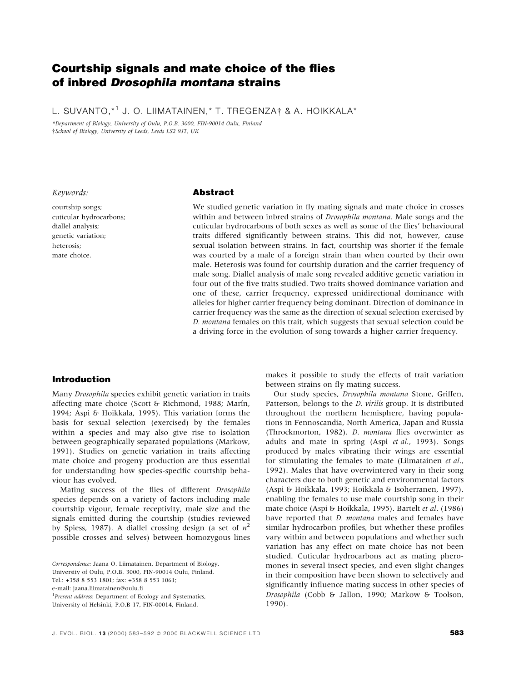# Courtship signals and mate choice of the flies of inbred Drosophila montana strains

L. SUVANTO, <sup>\*1</sup> J. O. LIIMATAINEN, \* T. TREGENZA † & A. HOIKKALA \*

\*Department of Biology, University of Oulu, P.O.B. 3000, FIN-90014 Oulu, Finland School of Biology, University of Leeds, Leeds LS2 9JT, UK

#### Keywords:

courtship songs; cuticular hydrocarbons; diallel analysis; genetic variation; heterosis; mate choice.

## Abstract

We studied genetic variation in fly mating signals and mate choice in crosses within and between inbred strains of Drosophila montana. Male songs and the cuticular hydrocarbons of both sexes as well as some of the flies' behavioural traits differed significantly between strains. This did not, however, cause sexual isolation between strains. In fact, courtship was shorter if the female was courted by a male of a foreign strain than when courted by their own male. Heterosis was found for courtship duration and the carrier frequency of male song. Diallel analysis of male song revealed additive genetic variation in four out of the five traits studied. Two traits showed dominance variation and one of these, carrier frequency, expressed unidirectional dominance with alleles for higher carrier frequency being dominant. Direction of dominance in carrier frequency was the same as the direction of sexual selection exercised by D. montana females on this trait, which suggests that sexual selection could be a driving force in the evolution of song towards a higher carrier frequency.

# Introduction

Many Drosophila species exhibit genetic variation in traits affecting mate choice (Scott  $\&$  Richmond, 1988; Marín, 1994; Aspi & Hoikkala, 1995). This variation forms the basis for sexual selection (exercised) by the females within a species and may also give rise to isolation between geographically separated populations (Markow, 1991). Studies on genetic variation in traits affecting mate choice and progeny production are thus essential for understanding how species-specific courtship behaviour has evolved.

Mating success of the flies of different Drosophila species depends on a variety of factors including male courtship vigour, female receptivity, male size and the signals emitted during the courtship (studies reviewed by Spiess, 1987). A diallel crossing design (a set of  $n^2$ possible crosses and selves) between homozygous lines

e-mail: jaana.liimatainen@oulu.fi

makes it possible to study the effects of trait variation between strains on fly mating success.

Our study species, Drosophila montana Stone, Griffen, Patterson, belongs to the D. virilis group. It is distributed throughout the northern hemisphere, having populations in Fennoscandia, North America, Japan and Russia (Throckmorton, 1982). *D. montana* flies overwinter as adults and mate in spring (Aspi et al., 1993). Songs produced by males vibrating their wings are essential for stimulating the females to mate (Liimatainen et al., 1992). Males that have overwintered vary in their song characters due to both genetic and environmental factors (Aspi & Hoikkala, 1993; Hoikkala & Isoherranen, 1997), enabling the females to use male courtship song in their mate choice (Aspi & Hoikkala, 1995). Bartelt et al. (1986) have reported that *D. montana* males and females have similar hydrocarbon profiles, but whether these profiles vary within and between populations and whether such variation has any effect on mate choice has not been studied. Cuticular hydrocarbons act as mating pheromones in several insect species, and even slight changes in their composition have been shown to selectively and significantly influence mating success in other species of Drosophila (Cobb & Jallon, 1990; Markow & Toolson, 1990).

Correspondence: Jaana O. Liimatainen, Department of Biology,

University of Oulu, P.O.B. 3000, FIN-90014 Oulu, Finland.

Tel.: +358 8 553 1801; fax: +358 8 553 1061;

<sup>&</sup>lt;sup>1</sup> Present address: Department of Ecology and Systematics,

University of Helsinki, P.O.B 17, FIN-00014, Finland.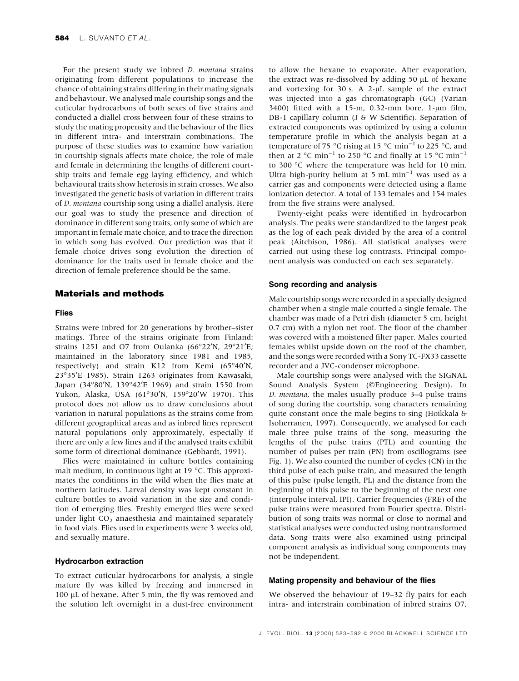For the present study we inbred D. montana strains originating from different populations to increase the chance of obtaining strains differing in their mating signals and behaviour. We analysed male courtship songs and the cuticular hydrocarbons of both sexes of five strains and conducted a diallel cross between four of these strains to study the mating propensity and the behaviour of the flies in different intra- and interstrain combinations. The purpose of these studies was to examine how variation in courtship signals affects mate choice, the role of male and female in determining the lengths of different courtship traits and female egg laying efficiency, and which behavioural traits show heterosis in strain crosses. We also investigated the genetic basis of variation in different traits of D. montana courtship song using a diallel analysis. Here our goal was to study the presence and direction of dominance in different song traits, only some of which are important in female mate choice, and to trace the direction in which song has evolved. Our prediction was that if female choice drives song evolution the direction of dominance for the traits used in female choice and the direction of female preference should be the same.

## Materials and methods

## Flies

Strains were inbred for 20 generations by brother-sister matings. Three of the strains originate from Finland: strains 1251 and O7 from Oulanka (66°22'N, 29°21'E; maintained in the laboratory since 1981 and 1985, respectively) and strain K12 from Kemi (65°40'N, 23°35¢E 1985). Strain 1263 originates from Kawasaki, Japan (34°80'N, 139°42'E 1969) and strain 1550 from Yukon, Alaska, USA (61°30'N, 159°20'W 1970). This protocol does not allow us to draw conclusions about variation in natural populations as the strains come from different geographical areas and as inbred lines represent natural populations only approximately, especially if there are only a few lines and if the analysed traits exhibit some form of directional dominance (Gebhardt, 1991).

Flies were maintained in culture bottles containing malt medium, in continuous light at 19 °C. This approximates the conditions in the wild when the flies mate at northern latitudes. Larval density was kept constant in culture bottles to avoid variation in the size and condition of emerging flies. Freshly emerged flies were sexed under light  $CO<sub>2</sub>$  anaesthesia and maintained separately in food vials. Flies used in experiments were 3 weeks old, and sexually mature.

#### Hydrocarbon extraction

To extract cuticular hydrocarbons for analysis, a single mature fly was killed by freezing and immersed in  $100 \mu L$  of hexane. After 5 min, the fly was removed and the solution left overnight in a dust-free environment

to allow the hexane to evaporate. After evaporation, the extract was re-dissolved by adding  $50 \mu L$  of hexane and vortexing for 30 s. A  $2-\mu L$  sample of the extract was injected into a gas chromatograph (GC) (Varian 3400) fitted with a 15-m, 0.32-mm bore, 1- $\mu$ m film, DB-1 capillary column (J & W Scientific). Separation of extracted components was optimized by using a column temperature profile in which the analysis began at a temperature of 75 °C rising at 15 °C min<sup>-1</sup> to 225 °C, and then at 2 °C min<sup>-1</sup> to 250 °C and finally at 15 °C min<sup>-1</sup> to 300 °C where the temperature was held for 10 min. Ultra high-purity helium at 5 mL min<sup>-1</sup> was used as a carrier gas and components were detected using a flame ionization detector. A total of 133 females and 154 males from the five strains were analysed.

Twenty-eight peaks were identified in hydrocarbon analysis. The peaks were standardized to the largest peak as the log of each peak divided by the area of a control peak (Aitchison, 1986). All statistical analyses were carried out using these log contrasts. Principal component analysis was conducted on each sex separately.

#### Song recording and analysis

Male courtship songs were recorded in a specially designed chamber when a single male courted a single female. The chamber was made of a Petri dish (diameter 5 cm, height  $0.7$  cm) with a nylon net roof. The floor of the chamber was covered with a moistened filter paper. Males courted females whilst upside down on the roof of the chamber, and the songs were recorded with a Sony TC-FX33 cassette recorder and a JVC-condenser microphone.

Male courtship songs were analysed with the SIGNAL Sound Analysis System (©Engineering Design). In D. montana, the males usually produce  $3-4$  pulse trains of song during the courtship, song characters remaining quite constant once the male begins to sing (Hoikkala & Isoherranen, 1997). Consequently, we analysed for each male three pulse trains of the song, measuring the lengths of the pulse trains (PTL) and counting the number of pulses per train (PN) from oscillograms (see Fig. 1). We also counted the number of cycles (CN) in the third pulse of each pulse train, and measured the length of this pulse (pulse length, PL) and the distance from the beginning of this pulse to the beginning of the next one (interpulse interval, IPI). Carrier frequencies (FRE) of the pulse trains were measured from Fourier spectra. Distribution of song traits was normal or close to normal and statistical analyses were conducted using nontransformed data. Song traits were also examined using principal component analysis as individual song components may not be independent.

#### Mating propensity and behaviour of the flies

We observed the behaviour of  $19-32$  fly pairs for each intra- and interstrain combination of inbred strains O7,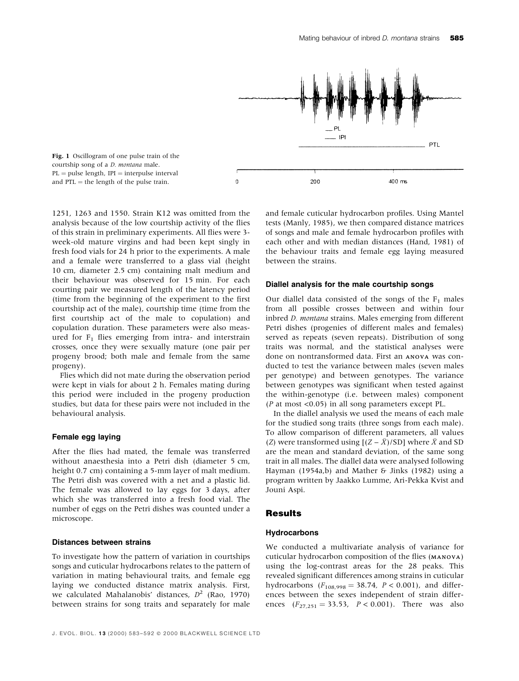

1251, 1263 and 1550. Strain K12 was omitted from the analysis because of the low courtship activity of the flies of this strain in preliminary experiments. All flies were 3week-old mature virgins and had been kept singly in fresh food vials for 24 h prior to the experiments. A male and a female were transferred to a glass vial (height 10 cm, diameter 2.5 cm) containing malt medium and their behaviour was observed for 15 min. For each courting pair we measured length of the latency period (time from the beginning of the experiment to the first courtship act of the male), courtship time (time from the first courtship act of the male to copulation) and copulation duration. These parameters were also measured for  $F_1$  flies emerging from intra- and interstrain crosses, once they were sexually mature (one pair per progeny brood; both male and female from the same progeny).

Flies which did not mate during the observation period were kept in vials for about 2 h. Females mating during this period were included in the progeny production studies, but data for these pairs were not included in the behavioural analysis.

#### Female egg laying

After the flies had mated, the female was transferred without anaesthesia into a Petri dish (diameter 5 cm, height 0.7 cm) containing a 5-mm layer of malt medium. The Petri dish was covered with a net and a plastic lid. The female was allowed to lay eggs for 3 days, after which she was transferred into a fresh food vial. The number of eggs on the Petri dishes was counted under a microscope.

## Distances between strains

To investigate how the pattern of variation in courtships songs and cuticular hydrocarbons relates to the pattern of variation in mating behavioural traits, and female egg laying we conducted distance matrix analysis. First, we calculated Mahalanobis' distances,  $D^2$  (Rao, 1970) between strains for song traits and separately for male

and female cuticular hydrocarbon profiles. Using Mantel tests (Manly, 1985), we then compared distance matrices of songs and male and female hydrocarbon profiles with each other and with median distances (Hand, 1981) of the behaviour traits and female egg laying measured between the strains.

#### Diallel analysis for the male courtship songs

Our diallel data consisted of the songs of the  $F_1$  males from all possible crosses between and within four inbred D. montana strains. Males emerging from different Petri dishes (progenies of different males and females) served as repeats (seven repeats). Distribution of song traits was normal, and the statistical analyses were done on nontransformed data. First an ANOVA was conducted to test the variance between males (seven males per genotype) and between genotypes. The variance between genotypes was significant when tested against the within-genotype (i.e. between males) component (P at most <0.05) in all song parameters except PL.

In the diallel analysis we used the means of each male for the studied song traits (three songs from each male). To allow comparison of different parameters, all values (Z) were transformed using  $[(Z - \overline{X})/SD]$  where  $\overline{X}$  and SD are the mean and standard deviation, of the same song trait in all males. The diallel data were analysed following Hayman (1954a,b) and Mather & Jinks (1982) using a program written by Jaakko Lumme, Ari-Pekka Kvist and Jouni Aspi.

## **Results**

### **Hydrocarbons**

We conducted a multivariate analysis of variance for cuticular hydrocarbon composition of the flies (MANOVA) using the log-contrast areas for the 28 peaks. This revealed significant differences among strains in cuticular hydrocarbons  $(F_{108,998} = 38.74, P < 0.001)$ , and differences between the sexes independent of strain differences  $(F_{27,251} = 33.53, P < 0.001)$ . There was also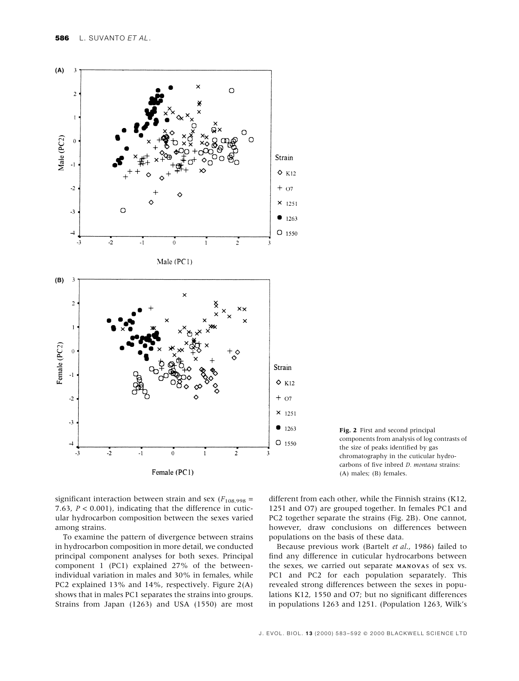



significant interaction between strain and sex ( $F_{108,998}$  = 7.63,  $P < 0.001$ ), indicating that the difference in cuticular hydrocarbon composition between the sexes varied among strains.

To examine the pattern of divergence between strains in hydrocarbon composition in more detail, we conducted principal component analyses for both sexes. Principal component 1 (PC1) explained 27% of the betweenindividual variation in males and 30% in females, while PC2 explained 13% and 14%, respectively. Figure 2(A) shows that in males PC1 separates the strains into groups. Strains from Japan (1263) and USA (1550) are most

different from each other, while the Finnish strains (K12, 1251 and O7) are grouped together. In females PC1 and PC2 together separate the strains (Fig. 2B). One cannot, however, draw conclusions on differences between populations on the basis of these data.

Because previous work (Bartelt et al., 1986) failed to find any difference in cuticular hydrocarbons between the sexes, we carried out separate MANOVAs of sex vs. PC1 and PC2 for each population separately. This revealed strong differences between the sexes in populations K12, 1550 and O7; but no significant differences in populations 1263 and 1251. (Population 1263, Wilk's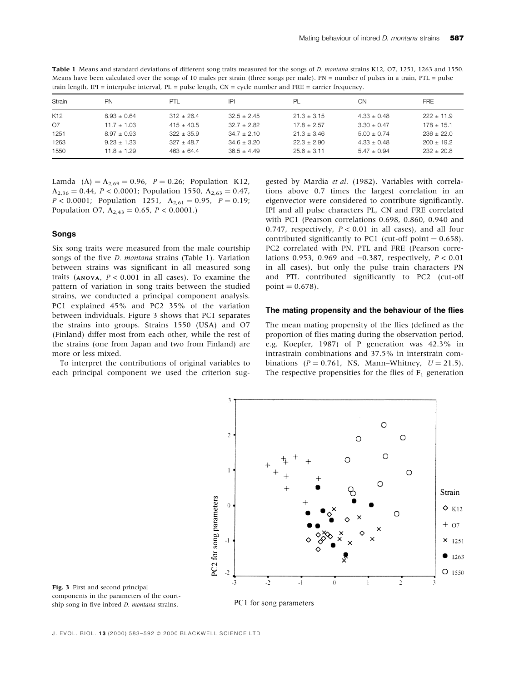| Means have been calculated over the songs of 10 males per strain (three songs per male). $PN =$ number of pulses in a train, $PTL =$ pulse |    |     |     |    |    |            |  |  |  |  |
|--------------------------------------------------------------------------------------------------------------------------------------------|----|-----|-----|----|----|------------|--|--|--|--|
| train length, IPI = interpulse interval, $PL$ = pulse length, $CN$ = cycle number and $FRE$ = carrier frequency.                           |    |     |     |    |    |            |  |  |  |  |
| Strain                                                                                                                                     | PN | PTI | IPI | PI | CΝ | <b>FRE</b> |  |  |  |  |

Table 1 Means and standard deviations of different song traits measured for the songs of D. montana strains K12, O7, 1251, 1263 and 1550.

| Strain          | PN              | PTL            | IPI           | PL.             | CΝ              | <b>FRE</b>     |
|-----------------|-----------------|----------------|---------------|-----------------|-----------------|----------------|
| K <sub>12</sub> | $8.93 \pm 0.64$ | $312 + 26.4$   | $32.5 + 2.45$ | $21.3 \pm 3.15$ | $4.33 \pm 0.48$ | $222 + 11.9$   |
| O7              | $11.7 + 1.03$   | $415 + 40.5$   | $32.7 + 2.82$ | $17.8 + 2.57$   | $3.30 + 0.47$   | $178 + 15.1$   |
| 1251            | $8.97 \pm 0.93$ | $322 \pm 35.9$ | $34.7 + 2.10$ | $21.3 \pm 3.46$ | $5.00 + 0.74$   | $236 \pm 22.0$ |
| 1263            | $9.23 + 1.33$   | $327 + 48.7$   | $34.6 + 3.20$ | $22.3 + 2.90$   | $4.33 + 0.48$   | $200 + 19.2$   |
| 1550            | $11.8 + 1.29$   | $463 + 64.4$   | $36.5 + 4.49$ | $25.6 + 3.11$   | $5.47 + 0.94$   | $232 + 20.8$   |

Lamda ( $\Lambda$ ) =  $\Lambda_{2,69}$  = 0.96, P = 0.26; Population K12,  $\Lambda_{2,36} = 0.44$ ,  $P < 0.0001$ ; Population 1550,  $\Lambda_{2,63} = 0.47$ ,  $P < 0.0001$ ; Population 1251,  $\Lambda_{2,61} = 0.95$ ,  $P = 0.19$ ; Population O7,  $\Lambda_{2,43} = 0.65$ ,  $P < 0.0001$ .)

### Songs

Six song traits were measured from the male courtship songs of the five *D. montana* strains (Table 1). Variation between strains was significant in all measured song traits (ANOVA,  $P < 0.001$  in all cases). To examine the pattern of variation in song traits between the studied strains, we conducted a principal component analysis. PC1 explained 45% and PC2 35% of the variation between individuals. Figure 3 shows that PC1 separates the strains into groups. Strains 1550 (USA) and O7 (Finland) differ most from each other, while the rest of the strains (one from Japan and two from Finland) are more or less mixed.

To interpret the contributions of original variables to each principal component we used the criterion sug-

gested by Mardia et al. (1982). Variables with correlations above 0.7 times the largest correlation in an eigenvector were considered to contribute significantly. IPI and all pulse characters PL, CN and FRE correlated with PC1 (Pearson correlations 0.698, 0.860, 0.940 and 0.747, respectively,  $P < 0.01$  in all cases), and all four contributed significantly to PC1 (cut-off point  $= 0.658$ ). PC2 correlated with PN, PTL and FRE (Pearson correlations 0.953, 0.969 and  $-0.387$ , respectively,  $P < 0.01$ in all cases), but only the pulse train characters PN and PTL contributed significantly to PC2 (cut-off  $point = 0.678$ .

#### The mating propensity and the behaviour of the flies

The mean mating propensity of the flies (defined as the proportion of flies mating during the observation period, e.g. Koepfer, 1987) of P generation was 42.3% in intrastrain combinations and 37.5% in interstrain combinations ( $P = 0.761$ , NS, Mann-Whitney,  $U = 21.5$ ). The respective propensities for the flies of  $F_1$  generation



Fig. 3 First and second principal components in the parameters of the courtship song in five inbred *D. montana* strains.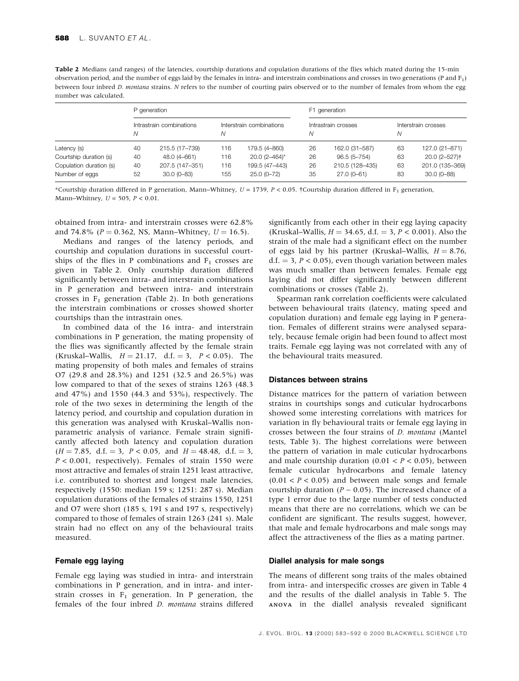| Table 2 Medians (and ranges) of the latencies, courtship durations and copulation durations of the flies which mated during the 15-min              |
|-----------------------------------------------------------------------------------------------------------------------------------------------------|
| observation period, and the number of eggs laid by the females in intra- and interstrain combinations and crosses in two generations (P and $F_1$ ) |
| between four inbred <i>D. montana</i> strains. N refers to the number of courting pairs observed or to the number of females from whom the egg      |
| number was calculated.                                                                                                                              |

|                         |                               | P generation    |                               |                             | F1 generation            |                 |                          |                           |  |  |
|-------------------------|-------------------------------|-----------------|-------------------------------|-----------------------------|--------------------------|-----------------|--------------------------|---------------------------|--|--|
|                         | Intrastrain combinations<br>N |                 | Interstrain combinations<br>Ν |                             | Intrastrain crosses<br>N |                 | Interstrain crosses<br>Ν |                           |  |  |
| Latency (s)             | 40                            | 215.5 (17-739)  | 116                           | 179.5 (4-860)               | 26                       | 162.0 (31-587)  | 63                       | 127.0 (21-871)            |  |  |
| Courtship duration (s)  | 40                            | 48.0 (4-661)    | 116                           | $20.0$ (2-464) <sup>*</sup> | 26                       | $96.5(5 - 754)$ | 63                       | 20.0 (2-527) <sup>†</sup> |  |  |
| Copulation duration (s) | 40                            | 207.5 (147-351) | 116                           | 199.5 (47-443)              | 26                       | 210.5 (128-435) | 63                       | 201.0 (135-369)           |  |  |
| Number of eggs          | 52                            | $30.0(0 - 83)$  | 155                           | $25.0(0-72)$                | 35                       | $27.0(0-61)$    | 83                       | $30.0(0 - 88)$            |  |  |

\*Courtship duration differed in P generation, Mann-Whitney,  $U = 1739$ ,  $P < 0.05$ . †Courtship duration differed in F<sub>1</sub> generation, Mann-Whitney,  $U = 505$ ,  $P < 0.01$ .

obtained from intra- and interstrain crosses were 62.8% and 74.8% ( $P = 0.362$ , NS, Mann-Whitney,  $U = 16.5$ ).

Medians and ranges of the latency periods, and courtship and copulation durations in successful courtships of the flies in P combinations and  $F_1$  crosses are given in Table 2. Only courtship duration differed significantly between intra- and interstrain combinations in P generation and between intra- and interstrain crosses in  $F_1$  generation (Table 2). In both generations the interstrain combinations or crosses showed shorter courtships than the intrastrain ones.

In combined data of the 16 intra- and interstrain combinations in P generation, the mating propensity of the flies was significantly affected by the female strain (Kruskal–Wallis,  $H = 21.17$ , d.f.  $= 3$ ,  $P < 0.05$ ). The mating propensity of both males and females of strains O7 (29.8 and 28.3%) and 1251 (32.5 and 26.5%) was low compared to that of the sexes of strains 1263 (48.3 and 47%) and 1550 (44.3 and 53%), respectively. The role of the two sexes in determining the length of the latency period, and courtship and copulation duration in this generation was analysed with Kruskal-Wallis nonparametric analysis of variance. Female strain significantly affected both latency and copulation duration  $(H = 7.85, d.f. = 3, P < 0.05, and H = 48.48, d.f. = 3,$  $P < 0.001$ , respectively). Females of strain 1550 were most attractive and females of strain 1251 least attractive, i.e. contributed to shortest and longest male latencies, respectively (1550: median 159 s; 1251: 287 s). Median copulation durations of the females of strains 1550, 1251 and O7 were short (185 s, 191 s and 197 s, respectively) compared to those of females of strain 1263 (241 s). Male strain had no effect on any of the behavioural traits measured.

## Female egg laying

Female egg laying was studied in intra- and interstrain combinations in P generation, and in intra- and interstrain crosses in  $F_1$  generation. In P generation, the females of the four inbred D. montana strains differed significantly from each other in their egg laying capacity (Kruskal–Wallis,  $H = 34.65$ , d.f.  $= 3$ ,  $P < 0.001$ ). Also the strain of the male had a significant effect on the number of eggs laid by his partner (Kruskal–Wallis,  $H = 8.76$ , d.f.  $=$  3,  $P$  < 0.05), even though variation between males was much smaller than between females. Female egg laying did not differ significantly between different combinations or crosses (Table 2).

Spearman rank correlation coefficients were calculated between behavioural traits (latency, mating speed and copulation duration) and female egg laying in P generation. Females of different strains were analysed separately, because female origin had been found to affect most traits. Female egg laying was not correlated with any of the behavioural traits measured.

#### Distances between strains

Distance matrices for the pattern of variation between strains in courtships songs and cuticular hydrocarbons showed some interesting correlations with matrices for variation in fly behavioural traits or female egg laying in crosses between the four strains of D. montana (Mantel tests, Table 3). The highest correlations were between the pattern of variation in male cuticular hydrocarbons and male courtship duration  $(0.01 < P < 0.05)$ , between female cuticular hydrocarbons and female latency  $(0.01 < P < 0.05)$  and between male songs and female courtship duration ( $P \sim 0.05$ ). The increased chance of a type 1 error due to the large number of tests conducted means that there are no correlations, which we can be confident are significant. The results suggest, however, that male and female hydrocarbons and male songs may affect the attractiveness of the flies as a mating partner.

## Diallel analysis for male songs

The means of different song traits of the males obtained from intra- and interspecific crosses are given in Table 4 and the results of the diallel analysis in Table 5. The ANOVA in the diallel analysis revealed significant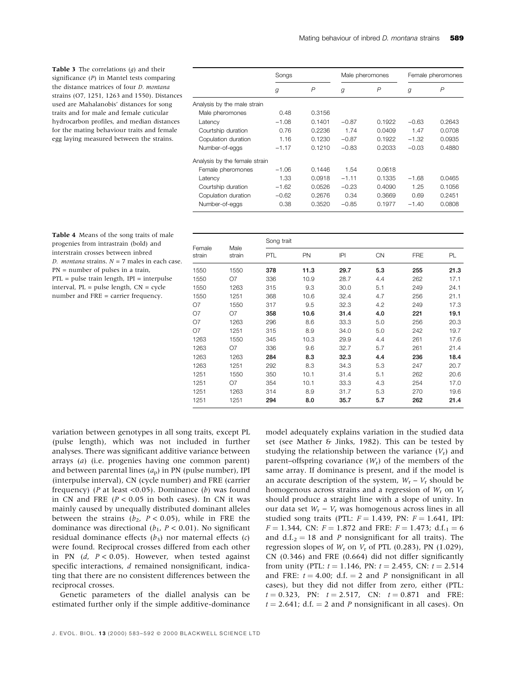| <b>Table 3</b> The correlations $(q)$ and their |                               | Songs   |                | Male pheromones |               | Female pheromones |        |
|-------------------------------------------------|-------------------------------|---------|----------------|-----------------|---------------|-------------------|--------|
| significance $(P)$ in Mantel tests comparing    |                               |         |                |                 |               |                   |        |
| the distance matrices of four <i>D. montana</i> |                               | g       | $\overline{P}$ | g               | $\mathcal{P}$ | g                 | P      |
| strains (O7, 1251, 1263 and 1550). Distances    |                               |         |                |                 |               |                   |        |
| used are Mahalanobis' distances for song        | Analysis by the male strain   |         |                |                 |               |                   |        |
| traits and for male and female cuticular        | Male pheromones               | 0.48    | 0.3156         |                 |               |                   |        |
| hydrocarbon profiles, and median distances      | Latency                       | $-1.08$ | 0.1401         | $-0.87$         | 0.1922        | $-0.63$           | 0.2643 |
| for the mating behaviour traits and female      | Courtship duration            | 0.76    | 0.2236         | 1.74            | 0.0409        | 1.47              | 0.0708 |
| egg laying measured between the strains.        | Copulation duration           | 1.16    | 0.1230         | $-0.87$         | 0.1922        | $-1.32$           | 0.0935 |
|                                                 | Number-of-eggs                | $-1.17$ | 0.1210         | $-0.83$         | 0.2033        | $-0.03$           | 0.4880 |
|                                                 | Analysis by the female strain |         |                |                 |               |                   |        |
|                                                 | Female pheromones             | $-1.06$ | 0.1446         | 1.54            | 0.0618        |                   |        |
|                                                 | Latency                       | 1.33    | 0.0918         | $-1.11$         | 0.1335        | $-1.68$           | 0.0465 |
|                                                 | Courtship duration            | $-1.62$ | 0.0526         | $-0.23$         | 0.4090        | 1.25              | 0.1056 |

Table 4 Means of the song traits of male progenies from intrastrain (bold) and interstrain crosses between inbred D. montana strains.  $N = 7$  males in each case. PN = number of pulses in a train, PTL = pulse train length, IPI = interpulse interval,  $PL = pulse length$ ,  $CN = cycle$ number and FRE = carrier frequency.

|        |      | Song trait |      |           |            |      |  |  |  |  |
|--------|------|------------|------|-----------|------------|------|--|--|--|--|
| strain | PTL  | PN         | P    | <b>CN</b> | <b>FRE</b> | PL   |  |  |  |  |
| 1550   | 378  | 11.3       | 29.7 | 5.3       | 255        | 21.3 |  |  |  |  |
| O7     | 336  | 10.9       | 28.7 | 4.4       | 262        | 17.1 |  |  |  |  |
| 1263   | 315  | 9.3        | 30.0 | 5.1       | 249        | 24.1 |  |  |  |  |
| 1251   | 368  | 10.6       | 32.4 | 4.7       | 256        | 21.1 |  |  |  |  |
| 1550   | 317  | 9.5        | 32.3 | 4.2       | 249        | 17.3 |  |  |  |  |
| O7     | 358  | 10.6       | 31.4 | 4.0       | 221        | 19.1 |  |  |  |  |
| 1263   | 296  | 8.6        | 33.3 | 5.0       | 256        | 20.3 |  |  |  |  |
| 1251   | 315  | 8.9        | 34.0 | 5.0       | 242        | 19.7 |  |  |  |  |
| 1550   | 345  | 10.3       | 29.9 | 4.4       | 261        | 17.6 |  |  |  |  |
| Ο7     | 336  | 9.6        | 32.7 | 5.7       | 261        | 21.4 |  |  |  |  |
| 1263   | 284  | 8.3        | 32.3 | 4.4       | 236        | 18.4 |  |  |  |  |
| 1251   | 292  | 8.3        | 34.3 | 5.3       | 247        | 20.7 |  |  |  |  |
| 1550   | 350  | 10.1       | 31.4 | 5.1       | 262        | 20.6 |  |  |  |  |
| Ο7     | 354  | 10.1       | 33.3 | 4.3       | 254        | 17.0 |  |  |  |  |
| 1263   | 314  | 8.9        | 31.7 | 5.3       | 270        | 19.6 |  |  |  |  |
| 1251   | 294  | 8.0        | 35.7 | 5.7       | 262        | 21.4 |  |  |  |  |
|        | Male |            |      |           |            |      |  |  |  |  |

Copulation duration  $-0.62$  0.2676 0.34 0.3669 0.69 0.2451 Number-of-eggs 0.38 0.3520 )0.85 0.1977 )1.40 0.0808

variation between genotypes in all song traits, except PL (pulse length), which was not included in further analyses. There was significant additive variance between arrays (a) (i.e. progenies having one common parent) and between parental lines  $(a<sub>p</sub>)$  in PN (pulse number), IPI (interpulse interval), CN (cycle number) and FRE (carrier frequency) (*P* at least <0.05). Dominance (*b*) was found in CN and FRE  $(P < 0.05$  in both cases). In CN it was mainly caused by unequally distributed dominant alleles between the strains ( $b_2$ ,  $P < 0.05$ ), while in FRE the dominance was directional ( $b_1$ ,  $P < 0.01$ ). No significant residual dominance effects  $(b_3)$  nor maternal effects  $(c)$ were found. Reciprocal crosses differed from each other in PN  $(d, P < 0.05)$ . However, when tested against specific interactions,  $d$  remained nonsignificant, indicating that there are no consistent differences between the reciprocal crosses.

Genetic parameters of the diallel analysis can be estimated further only if the simple additive-dominance model adequately explains variation in the studied data set (see Mather & Jinks, 1982). This can be tested by studying the relationship between the variance  $(V_r)$  and parent–offspring covariance  $(W_r)$  of the members of the same array. If dominance is present, and if the model is an accurate description of the system,  $W_r - V_r$  should be homogenous across strains and a regression of  $W_r$  on  $V_r$ should produce a straight line with a slope of unity. In our data set  $W_r - V_r$  was homogenous across lines in all studied song traits (PTL:  $F = 1.439$ , PN:  $F = 1.641$ , IPI:  $F = 1.344$ , CN:  $F = 1.872$  and FRE:  $F = 1.473$ ; d.f.<sub>1</sub> = 6 and d.f.<sub>2</sub> = 18 and *P* nonsignificant for all traits). The regression slopes of  $W_r$  on  $V_r$  of PTL (0.283), PN (1.029),  $CN$  (0.346) and FRE (0.664) did not differ significantly from unity (PTL:  $t = 1.146$ , PN:  $t = 2.455$ , CN:  $t = 2.514$ and FRE:  $t = 4.00$ ; d.f.  $= 2$  and P nonsignificant in all cases), but they did not differ from zero, either (PTL:  $t = 0.323$ , PN:  $t = 2.517$ , CN:  $t = 0.871$  and FRE:  $t = 2.641$ ; d.f.  $= 2$  and P nonsignificant in all cases). On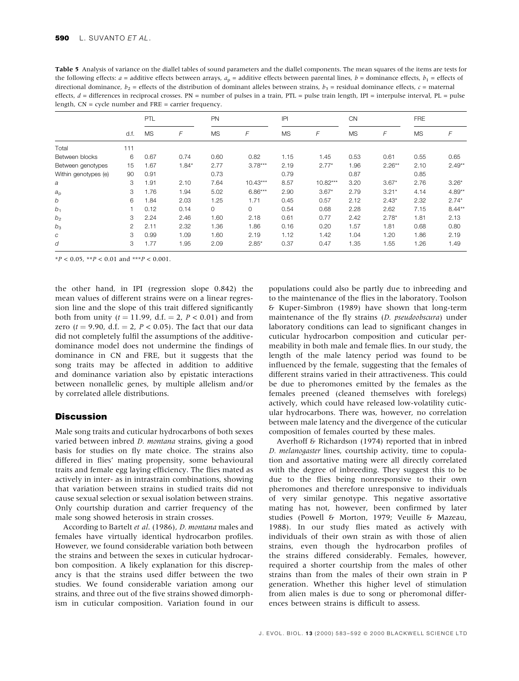Table 5 Analysis of variance on the diallel tables of sound parameters and the diallel components. The mean squares of the items are tests for the following effects:  $a =$  additive effects between arrays,  $a_p =$  additive effects between parental lines,  $b =$  dominance effects,  $b_1 =$  effects of directional dominance,  $b_2$  = effects of the distribution of dominant alleles between strains,  $b_3$  = residual dominance effects, c = maternal effects,  $d =$  differences in reciprocal crosses. PN = number of pulses in a train, PTL = pulse train length, IPI = interpulse interval, PL = pulse length, CN = cycle number and FRE = carrier frequency.

|                      | d.f.           | <b>PTL</b> |         | PN        |            | P         |            | <b>CN</b> |          | <b>FRE</b> |           |
|----------------------|----------------|------------|---------|-----------|------------|-----------|------------|-----------|----------|------------|-----------|
|                      |                | <b>MS</b>  | F       | <b>MS</b> | F          | <b>MS</b> | F          | <b>MS</b> | F        | <b>MS</b>  | F         |
| Total                | 111            |            |         |           |            |           |            |           |          |            |           |
| Between blocks       | 6              | 0.67       | 0.74    | 0.60      | 0.82       | 1.15      | 1.45       | 0.53      | 0.61     | 0.55       | 0.65      |
| Between genotypes    | 15             | 1.67       | $1.84*$ | 2.77      | $3.78***$  | 2.19      | $2.77*$    | 1.96      | $2.26**$ | 2.10       | $2.49**$  |
| Within genotypes (e) | 90             | 0.91       |         | 0.73      |            | 0.79      |            | 0.87      |          | 0.85       |           |
| a                    | 3              | 1.91       | 2.10    | 7.64      | $10.43***$ | 8.57      | $10.82***$ | 3.20      | $3.67*$  | 2.76       | $3.26*$   |
| $a_{p}$              | 3              | 1.76       | 1.94    | 5.02      | $6.86***$  | 2.90      | $3.67*$    | 2.79      | $3.21*$  | 4.14       | $4.89**$  |
| b                    | 6              | 1.84       | 2.03    | 1.25      | 1.71       | 0.45      | 0.57       | 2.12      | $2.43*$  | 2.32       | $2.74*$   |
| b <sub>1</sub>       |                | 0.12       | 0.14    | 0         | $\circ$    | 0.54      | 0.68       | 2.28      | 2.62     | 7.15       | $8.44***$ |
| b <sub>2</sub>       | 3              | 2.24       | 2.46    | 1.60      | 2.18       | 0.61      | 0.77       | 2.42      | $2.78*$  | 1.81       | 2.13      |
| $b_3$                | $\overline{2}$ | 2.11       | 2.32    | 1.36      | 1.86       | 0.16      | 0.20       | 1.57      | 1.81     | 0.68       | 0.80      |
| С                    | 3              | 0.99       | 1.09    | 1.60      | 2.19       | 1.12      | 1.42       | 1.04      | 1.20     | 1.86       | 2.19      |
| d                    | 3              | 1.77       | 1.95    | 2.09      | $2.85*$    | 0.37      | 0.47       | 1.35      | 1.55     | 1.26       | 1.49      |

 $*P < 0.05$ ,  $*P < 0.01$  and  $*+P < 0.001$ .

the other hand, in IPI (regression slope 0.842) the mean values of different strains were on a linear regression line and the slope of this trait differed significantly both from unity  $(t = 11.99, d.f. = 2, P < 0.01)$  and from zero ( $t = 9.90$ , d.f.  $= 2$ ,  $P < 0.05$ ). The fact that our data did not completely fulfil the assumptions of the additivedominance model does not undermine the findings of dominance in CN and FRE, but it suggests that the song traits may be affected in addition to additive and dominance variation also by epistatic interactions between nonallelic genes, by multiple allelism and/or by correlated allele distributions.

## **Discussion**

Male song traits and cuticular hydrocarbons of both sexes varied between inbred *D. montana* strains, giving a good basis for studies on fly mate choice. The strains also differed in flies' mating propensity, some behavioural traits and female egg laying efficiency. The flies mated as actively in inter- as in intrastrain combinations, showing that variation between strains in studied traits did not cause sexual selection or sexual isolation between strains. Only courtship duration and carrier frequency of the male song showed heterosis in strain crosses.

According to Bartelt et al. (1986), D. montana males and females have virtually identical hydrocarbon profiles. However, we found considerable variation both between the strains and between the sexes in cuticular hydrocarbon composition. A likely explanation for this discrepancy is that the strains used differ between the two studies. We found considerable variation among our strains, and three out of the five strains showed dimorphism in cuticular composition. Variation found in our

populations could also be partly due to inbreeding and to the maintenance of the flies in the laboratory. Toolson & Kuper-Simbron (1989) have shown that long-term maintenance of the fly strains (D. pseudoobscura) under laboratory conditions can lead to significant changes in cuticular hydrocarbon composition and cuticular permeability in both male and female flies. In our study, the length of the male latency period was found to be influenced by the female, suggesting that the females of different strains varied in their attractiveness. This could be due to pheromones emitted by the females as the females preened (cleaned themselves with forelegs) actively, which could have released low-volatility cuticular hydrocarbons. There was, however, no correlation between male latency and the divergence of the cuticular composition of females courted by these males.

Averhoff & Richardson (1974) reported that in inbred D. melanogaster lines, courtship activity, time to copulation and assortative mating were all directly correlated with the degree of inbreeding. They suggest this to be due to the flies being nonresponsive to their own pheromones and therefore unresponsive to individuals of very similar genotype. This negative assortative mating has not, however, been confirmed by later studies (Powell & Morton, 1979; Veuille & Mazeau, 1988). In our study flies mated as actively with individuals of their own strain as with those of alien strains, even though the hydrocarbon profiles of the strains differed considerably. Females, however, required a shorter courtship from the males of other strains than from the males of their own strain in P generation. Whether this higher level of stimulation from alien males is due to song or pheromonal differences between strains is difficult to assess.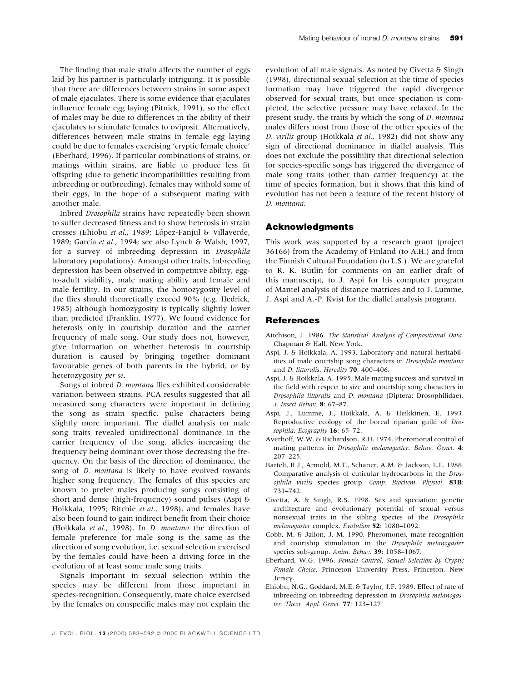The finding that male strain affects the number of eggs laid by his partner is particularly intriguing. It is possible that there are differences between strains in some aspect of male ejaculates. There is some evidence that ejaculates influence female egg laying (Pitnick, 1991), so the effect of males may be due to differences in the ability of their ejaculates to stimulate females to oviposit. Alternatively, differences between male strains in female egg laying could be due to females exercising 'cryptic female choice' (Eberhard, 1996). If particular combinations of strains, or matings within strains, are liable to produce less fit offspring (due to genetic incompatibilities resulting from inbreeding or outbreeding), females may withold some of their eggs, in the hope of a subsequent mating with another male.

Inbred Drosophila strains have repeatedly been shown to suffer decreased fitness and to show heterosis in strain crosses (Ehiobu et al., 1989; López-Fanjul & Villaverde, 1989; García et al., 1994; see also Lynch & Walsh, 1997, for a survey of inbreeding depression in Drosophila laboratory populations). Amongst other traits, inbreeding depression has been observed in competitive ability, eggto-adult viability, male mating ability and female and male fertility. In our strains, the homozygosity level of the flies should theoretically exceed 90% (e.g. Hedrick, 1985) although homozygosity is typically slightly lower than predicted (Franklin, 1977). We found evidence for heterosis only in courtship duration and the carrier frequency of male song. Our study does not, however, give information on whether heterosis in courtship duration is caused by bringing together dominant favourable genes of both parents in the hybrid, or by heterozygosity per se.

Songs of inbred *D. montana* flies exhibited considerable variation between strains. PCA results suggested that all measured song characters were important in defining the song as strain specific, pulse characters being slightly more important. The diallel analysis on male song traits revealed unidirectional dominance in the carrier frequency of the song, alleles increasing the frequency being dominant over those decreasing the frequency. On the basis of the direction of dominance, the song of *D. montana* is likely to have evolved towards higher song frequency. The females of this species are known to prefer males producing songs consisting of short and dense (high-frequency) sound pulses (Aspi & Hoikkala, 1995; Ritchie et al., 1998), and females have also been found to gain indirect benefit from their choice (Hoikkala et al., 1998). In D. montana the direction of female preference for male song is the same as the direction of song evolution, i.e. sexual selection exercised by the females could have been a driving force in the evolution of at least some male song traits.

Signals important in sexual selection within the species may be different from those important in species-recognition. Consequently, mate choice exercised by the females on conspecific males may not explain the

evolution of all male signals. As noted by Civetta & Singh 1(1998), directional sexual selection at the time of species formation may have triggered the rapid divergence observed for sexual traits, but once speciation is completed, the selective pressure may have relaxed. In the present study, the traits by which the song of D. montana males differs most from those of the other species of the D. virilis group (Hoikkala et al., 1982) did not show any sign of directional dominance in diallel analysis. This does not exclude the possibility that directional selection for species-specific songs has triggered the divergence of male song traits (other than carrier frequency) at the time of species formation, but it shows that this kind of evolution has not been a feature of the recent history of D. montana.

## Acknowledgments

This work was supported by a research grant (project 36166) from the Academy of Finland (to A.H.) and from the Finnish Cultural Foundation (to L.S.). We are grateful to R. K. Butlin for comments on an earlier draft of this manuscript, to J. Aspi for his computer program of Mantel analysis of distance matrices and to J. Lumme, J. Aspi and A.-P. Kvist for the diallel analysis program.

## References

- Aitchison, J. 1986. The Statistical Analysis of Compositional Data. Chapman & Hall, New York.
- Aspi, J. & Hoikkala, A. 1993. Laboratory and natural heritabilities of male courtship song characters in Drosophila montana and D. littoralis. Heredity  $70:400-406$ .
- Aspi, J. & Hoikkala, A. 1995. Male mating success and survival in the field with respect to size and courtship song characters in Drosophila littoralis and D. montana (Diptera: Drosophilidae). J. Insect Behav. 8: 67-87.
- Aspi, J., Lumme, J., Hoikkala, A. & Heikkinen, E. 1993. Reproductive ecology of the boreal riparian guild of Drosophila. Ecography 16: 65-72.
- Averhoff, W.W. & Richardson, R.H. 1974. Pheromonal control of mating patterns in Drosophila melanogaster. Behav. Genet. 4: 207±225.
- Bartelt, R.J., Armold, M.T., Schaner, A.M. & Jackson, L.L. 1986. Comparative analysis of cuticular hydrocarbons in the Drosophila virilis species group. Comp. Biochem. Physiol. 83B: 731±742.
- Civetta, A. & Singh, R.S. 1998. Sex and speciation: genetic architecture and evolutionary potential of sexual versus nonsexual traits in the sibling species of the Drosophila melanogaster complex. Evolution 52: 1080-1092.
- Cobb, M. & Jallon, J.-M. 1990. Pheromones, mate recognition and courtship stimulation in the Drosophila melanogaster species sub-group. Anim. Behav. 39: 1058-1067.
- Eberhard, W.G. 1996. Female Control: Sexual Selection by Cryptic Female Choice. Princeton University Press, Princeton, New Jersey.
- Ehiobu, N.G., Goddard, M.E. & Taylor, J.F. 1989. Effect of rate of inbreeding on inbreeding depression in Drosophila melanogaster. Theor. Appl. Genet.  $77: 123-127$ .